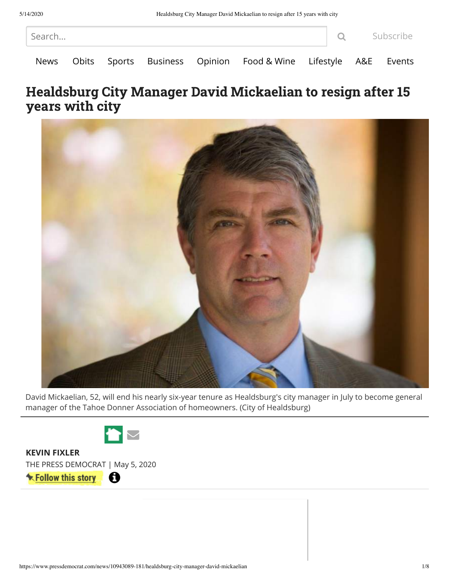| Search |  |  |  |  |                                                                     |  |  | <b>Q</b> Subscribe |  |
|--------|--|--|--|--|---------------------------------------------------------------------|--|--|--------------------|--|
|        |  |  |  |  | News Obits Sports Business Opinion Food & Wine Lifestyle A&E Events |  |  |                    |  |

## Healdsburg City Manager David Mickaelian to resign after 15 years with city



David Mickaelian, 52, will end his nearly six-year tenure as Healdsburg's city manager in July to become general manager of the Tahoe Donner Association of homeowners. (City of Healdsburg)



**[KEVIN FIXLER](https://www.pressdemocrat.com/directory/person?name=kevin+fixler&eid=73)**

THE PRESS DEMOCRAT | May 5, 2020

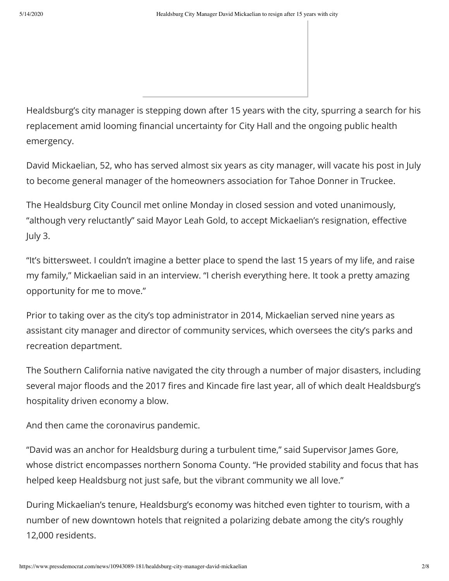Healdsburg's city manager is stepping down after 15 years with the city, spurring a search for his replacement amid looming financial uncertainty for City Hall and the ongoing public health emergency.

David Mickaelian, 52, who has served almost six years as city manager, will vacate his post in July to become general manager of the homeowners association for Tahoe Donner in Truckee.

The Healdsburg City Council met online Monday in closed session and voted unanimously, "although very reluctantly" said Mayor Leah Gold, to accept Mickaelian's resignation, effective July 3.

"It's bittersweet. I couldn't imagine a better place to spend the last 15 years of my life, and raise my family," Mickaelian said in an interview. "I cherish everything here. It took a pretty amazing opportunity for me to move."

Prior to taking over as the city's top administrator in 2014, Mickaelian served nine years as assistant city manager and director of community services, which oversees the city's parks and recreation department.

The Southern California native navigated the city through a number of major disasters, including several major floods and the 2017 fires and Kincade fire last year, all of which dealt Healdsburg's hospitality driven economy a blow.

And then came the coronavirus pandemic.

"David was an anchor for Healdsburg during a turbulent time," said Supervisor James Gore, whose district encompasses northern Sonoma County. "He provided stability and focus that has helped keep Healdsburg not just safe, but the vibrant community we all love."

During Mickaelian's tenure, Healdsburg's economy was hitched even tighter to tourism, with a number of new downtown hotels that reignited a polarizing debate among the city's roughly 12,000 residents.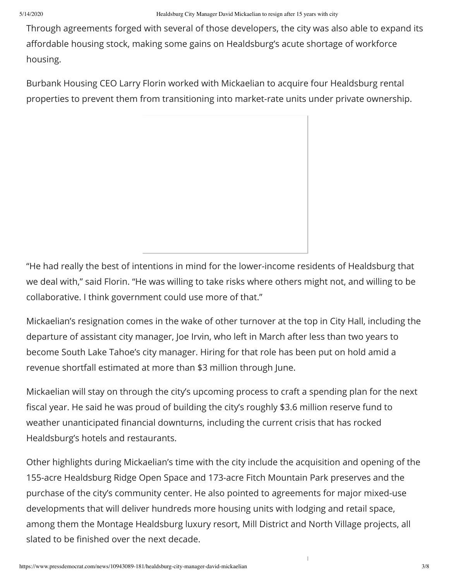Through agreements forged with several of those developers, the city was also able to expand its affordable housing stock, making some gains on Healdsburg's acute shortage of workforce housing.

Burbank Housing CEO Larry Florin worked with Mickaelian to acquire four Healdsburg rental properties to prevent them from transitioning into market-rate units under private ownership.

"He had really the best of intentions in mind for the lower-income residents of Healdsburg that we deal with," said Florin. "He was willing to take risks where others might not, and willing to be collaborative. I think government could use more of that."

Mickaelian's resignation comes in the wake of other turnover at the top in City Hall, including the departure of assistant city manager, Joe Irvin, who left in March after less than two years to become South Lake Tahoe's city manager. Hiring for that role has been put on hold amid a revenue shortfall estimated at more than \$3 million through June.

Mickaelian will stay on through the city's upcoming process to craft a spending plan for the next fiscal year. He said he was proud of building the city's roughly \$3.6 million reserve fund to weather unanticipated financial downturns, including the current crisis that has rocked Healdsburg's hotels and restaurants.

Other highlights during Mickaelian's time with the city include the acquisition and opening of the 155-acre Healdsburg Ridge Open Space and 173-acre Fitch Mountain Park preserves and the purchase of the city's community center. He also pointed to agreements for major mixed-use developments that will deliver hundreds more housing units with lodging and retail space, among them the Montage Healdsburg luxury resort, Mill District and North Village projects, all slated to be finished over the next decade.